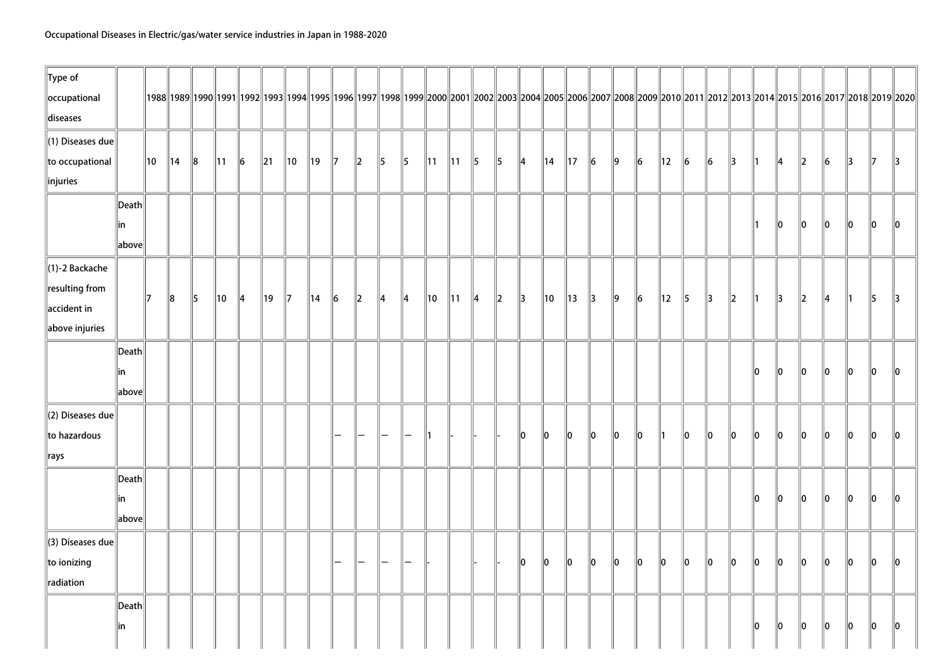| $\ $ Type of                 |                 |    |                |           |                |           |        |                |                |                          |                          |                          |                          |                |                |               |         |               |                |                |               |         |           |                |               |               |               |               |               |              |               |               |                                                                                                                                                                                                      |               |
|------------------------------|-----------------|----|----------------|-----------|----------------|-----------|--------|----------------|----------------|--------------------------|--------------------------|--------------------------|--------------------------|----------------|----------------|---------------|---------|---------------|----------------|----------------|---------------|---------|-----------|----------------|---------------|---------------|---------------|---------------|---------------|--------------|---------------|---------------|------------------------------------------------------------------------------------------------------------------------------------------------------------------------------------------------------|---------------|
| occupational                 |                 |    |                |           |                |           |        |                |                |                          |                          |                          |                          |                |                |               |         |               |                |                |               |         |           |                |               |               |               |               |               |              |               |               | 1988  1989  1990  1991  1992  1993  1994  1995  1996  1997  1998  1999  2000  2001  2002  2003  2004  2005  2006  2007  2008  2009  2010  2011  2012  2013  2014  2015  2016  2017  2018  2019  2020 |               |
| diseases                     |                 |    |                |           |                |           |        |                |                |                          |                          |                          |                          |                |                |               |         |               |                |                |               |         |           |                |               |               |               |               |               |              |               |               |                                                                                                                                                                                                      |               |
| $\ $ (1) Diseases due        |                 |    |                |           |                |           |        |                |                |                          |                          |                          |                          |                |                |               |         |               |                |                |               |         |           |                |               |               |               |               |               |              |               |               |                                                                                                                                                                                                      |               |
| to occupational              |                 | 10 | $\parallel$ 14 | $\ 8$     | $\parallel$ 11 | $\vert$ 6 | $\ 21$ | $\parallel$ 10 | ∥19            | $\mathbb{I}$             | $\ 2\ $                  | $\vert$ 5                | ∥5∶                      | $\parallel$ 11 | $\parallel$ 11 | $\vert$ 5     | 5       | $ 4\rangle$   | ∥14            | $\parallel$ 17 | $\ 6\ $       | $\ 9\ $ | $\vert$ 6 | $\parallel$ 12 | $\vert$ 6     | $\vert$ 6     | $\parallel$ 3 | $\parallel$ 1 | $\parallel$ 4 | $\ 2\ $      | $\vert$ 6     | $\parallel$ 3 | $\parallel$ 7                                                                                                                                                                                        | $\parallel$ 3 |
| linjuries                    |                 |    |                |           |                |           |        |                |                |                          |                          |                          |                          |                |                |               |         |               |                |                |               |         |           |                |               |               |               |               |               |              |               |               |                                                                                                                                                                                                      |               |
|                              | $\ $ Death      |    |                |           |                |           |        |                |                |                          |                          |                          |                          |                |                |               |         |               |                |                |               |         |           |                |               |               |               |               |               |              |               |               |                                                                                                                                                                                                      |               |
|                              | in              |    |                |           |                |           |        |                |                |                          |                          |                          |                          |                |                |               |         |               |                |                |               |         |           |                |               |               |               | ∥1            | $\ 0\ $       | $\ 0\ $      | $\ 0\ $       | $\ 0\ $       | 10                                                                                                                                                                                                   | 10            |
|                              | above           |    |                |           |                |           |        |                |                |                          |                          |                          |                          |                |                |               |         |               |                |                |               |         |           |                |               |               |               |               |               |              |               |               |                                                                                                                                                                                                      |               |
| $\parallel$ (1)-2 Backache   |                 |    |                |           |                |           |        |                |                |                          |                          |                          |                          |                |                |               |         |               |                |                |               |         |           |                |               |               |               |               |               |              |               |               |                                                                                                                                                                                                      |               |
| $\ $ resulting from          |                 |    |                |           |                |           |        |                |                |                          |                          |                          |                          |                |                |               |         |               |                |                |               |         |           |                |               |               |               |               |               |              |               |               |                                                                                                                                                                                                      |               |
| $\parallel$ accident in      |                 | 17 | $\ 8\ $        | $\vert$ 5 | $\parallel$ 10 | ∥4        | ∥19    | $\parallel$ 7  | $\parallel$ 14 | $\vert$ 6                | $\ 2\ $                  | $\parallel$ 4            | $\parallel$ 4            | 10             | $\parallel$ 11 | $\parallel$ 4 | $\ 2\ $ | $\parallel$ 3 | $\parallel$ 10 | $\parallel$ 13 | $\parallel$ 3 | $\ 9\ $ | $\ _6$    | $\parallel$ 12 | $\parallel$ 5 | $\parallel$ 3 | $\ 2\ $       | $\parallel$ 1 | $\parallel$ 3 | $\ 2\ $      | $\parallel$ 4 | ∥1            | 5                                                                                                                                                                                                    | $\parallel$ 3 |
| above injuries               |                 |    |                |           |                |           |        |                |                |                          |                          |                          |                          |                |                |               |         |               |                |                |               |         |           |                |               |               |               |               |               |              |               |               |                                                                                                                                                                                                      |               |
|                              | $\ $ Death      |    |                |           |                |           |        |                |                |                          |                          |                          |                          |                |                |               |         |               |                |                |               |         |           |                |               |               |               |               |               |              |               |               |                                                                                                                                                                                                      |               |
|                              | in              |    |                |           |                |           |        |                |                |                          |                          |                          |                          |                |                |               |         |               |                |                |               |         |           |                |               |               |               | 10            | 10            | $\ 0\ $      | 10            | $\ 0\ $       | 10                                                                                                                                                                                                   | $\ 0\ $       |
|                              | $\ $ above $\ $ |    |                |           |                |           |        |                |                |                          |                          |                          |                          |                |                |               |         |               |                |                |               |         |           |                |               |               |               |               |               |              |               |               |                                                                                                                                                                                                      |               |
| $\parallel$ (2) Diseases due |                 |    |                |           |                |           |        |                |                |                          |                          |                          |                          |                |                |               |         |               |                |                |               |         |           |                |               |               |               |               |               |              |               |               |                                                                                                                                                                                                      |               |
| to hazardous                 |                 |    |                |           |                |           |        |                |                | -                        | $\overline{\phantom{0}}$ | $\overline{\phantom{0}}$ | $\overline{\phantom{0}}$ | ∥1             |                |               |         | 10            | 10             | 10             | 10            | 10      | $\ 0\ $   | $\parallel$ 1  | $\ 0\ $       | $\ 0\ $       | $\ 0\ $       | $\ 0\ $       | $\ 0\ $       | $\mathbf{0}$ | $\ 0\ $       | $\ 0\ $       | 10                                                                                                                                                                                                   | $\parallel$ 0 |
| $\parallel$ rays             |                 |    |                |           |                |           |        |                |                |                          |                          |                          |                          |                |                |               |         |               |                |                |               |         |           |                |               |               |               |               |               |              |               |               |                                                                                                                                                                                                      |               |
|                              | Death           |    |                |           |                |           |        |                |                |                          |                          |                          |                          |                |                |               |         |               |                |                |               |         |           |                |               |               |               |               |               |              |               |               |                                                                                                                                                                                                      |               |
|                              | lin             |    |                |           |                |           |        |                |                |                          |                          |                          |                          |                |                |               |         |               |                |                |               |         |           |                |               |               |               | 10            | $\ 0\ $       | $ 0\rangle$  | $\ 0\ $       | $\ 0\ $       | $\parallel$ 0                                                                                                                                                                                        | 10            |
|                              | above           |    |                |           |                |           |        |                |                |                          |                          |                          |                          |                |                |               |         |               |                |                |               |         |           |                |               |               |               |               |               |              |               |               |                                                                                                                                                                                                      |               |
| $\parallel$ (3) Diseases due |                 |    |                |           |                |           |        |                |                |                          |                          |                          |                          |                |                |               |         |               |                |                |               |         |           |                |               |               |               |               |               |              |               |               |                                                                                                                                                                                                      |               |
| to ionizing                  |                 |    |                |           |                |           |        |                |                | $\overline{\phantom{0}}$ | $-$                      | $\overline{}$            | $\qquad \qquad -$        |                |                |               |         | 10            | $\ 0\ $        | $\ 0\ $        | $\ 0\ $       | $\ 0\ $ | $\ 0\ $   | $\ 0\ $        | $\ 0\ $       | $\ 0\ $       | $\ 0\ $       | $\ 0\ $       | $\ 0\ $       | $\ 0\ $      | $\ 0\ $       | $\ 0\ $       | $\ 0\ $                                                                                                                                                                                              | $\ 0\ $       |
| radiation                    |                 |    |                |           |                |           |        |                |                |                          |                          |                          |                          |                |                |               |         |               |                |                |               |         |           |                |               |               |               |               |               |              |               |               |                                                                                                                                                                                                      |               |
|                              | Death           |    |                |           |                |           |        |                |                |                          |                          |                          |                          |                |                |               |         |               |                |                |               |         |           |                |               |               |               |               |               |              |               |               |                                                                                                                                                                                                      |               |
|                              | in              |    |                |           |                |           |        |                |                |                          |                          |                          |                          |                |                |               |         |               |                |                |               |         |           |                |               |               |               | 10            | $\ 0\ $       | $\ 0\ $      | $\ 0\ $       | $\ 0\ $       | $\ 0\ $                                                                                                                                                                                              | $\ 0\ $       |
|                              |                 |    |                |           |                |           |        |                |                |                          |                          |                          |                          |                |                |               |         |               |                |                |               |         |           |                |               |               |               |               |               |              |               |               |                                                                                                                                                                                                      |               |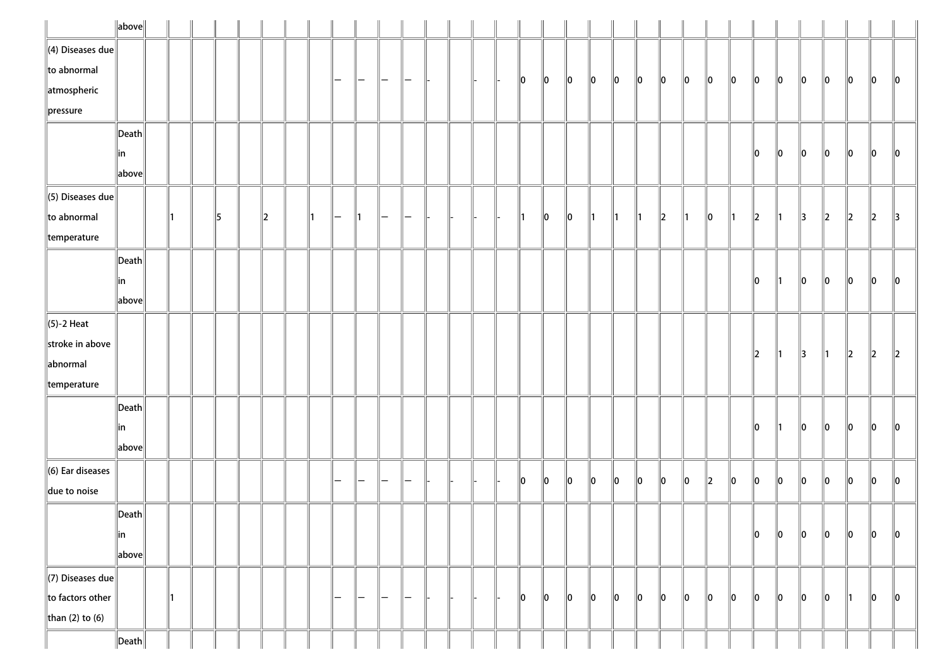|                          | $\ $ above $\ $       |    |    |    |  |   |   |               |   |  |  |    |    |               |               |    |    |    |    |         |    |         |         |               |    |         |               |               |
|--------------------------|-----------------------|----|----|----|--|---|---|---------------|---|--|--|----|----|---------------|---------------|----|----|----|----|---------|----|---------|---------|---------------|----|---------|---------------|---------------|
| $\ $ (4) Diseases due    |                       |    |    |    |  |   |   |               |   |  |  |    |    |               |               |    |    |    |    |         |    |         |         |               |    |         |               |               |
| $\ $ to abnormal         |                       |    |    |    |  | - | — | -             |   |  |  | 10 | 10 | $\ 0\ $       | 10            | 10 | 10 | 10 | 10 | 10      | 10 | 10      | 10      | 10            | 10 | 10      | 10            | 10            |
| $\parallel$ atmospheric  |                       |    |    |    |  |   |   |               |   |  |  |    |    |               |               |    |    |    |    |         |    |         |         |               |    |         |               |               |
| $\ $ pressure            |                       |    |    |    |  |   |   |               |   |  |  |    |    |               |               |    |    |    |    |         |    |         |         |               |    |         |               |               |
|                          | $ \mathsf{Death} $    |    |    |    |  |   |   |               |   |  |  |    |    |               |               |    |    |    |    |         |    |         |         |               |    |         |               |               |
|                          | in                    |    |    |    |  |   |   |               |   |  |  |    |    |               |               |    |    |    |    |         |    | 10      | 10      | 10            | 10 | 10      | 10            | 10            |
|                          | above                 |    |    |    |  |   |   |               |   |  |  |    |    |               |               |    |    |    |    |         |    |         |         |               |    |         |               |               |
| $\ $ (5) Diseases due    |                       |    |    |    |  |   |   |               |   |  |  |    |    |               |               |    |    |    |    |         |    |         |         |               |    |         |               |               |
| $\ $ to abnormal         |                       |    | 15 | 12 |  | - |   |               |   |  |  |    | 10 | $\parallel$ 0 | $\parallel$ 1 | ∥1 | ∥1 | 2  | ∥1 | 10      |    | 2       |         | 3             | 12 | 2       | $\parallel$ 2 | $\parallel$ 3 |
| $\parallel$ temperature  |                       |    |    |    |  |   |   |               |   |  |  |    |    |               |               |    |    |    |    |         |    |         |         |               |    |         |               |               |
|                          | $\vert$ Death $\vert$ |    |    |    |  |   |   |               |   |  |  |    |    |               |               |    |    |    |    |         |    |         |         |               |    |         |               |               |
|                          | in                    |    |    |    |  |   |   |               |   |  |  |    |    |               |               |    |    |    |    |         |    | 10      | 11      | 10            | 10 | 10      | 10            | 10            |
|                          | above                 |    |    |    |  |   |   |               |   |  |  |    |    |               |               |    |    |    |    |         |    |         |         |               |    |         |               |               |
| $\ $ (5)-2 Heat          |                       |    |    |    |  |   |   |               |   |  |  |    |    |               |               |    |    |    |    |         |    |         |         |               |    |         |               |               |
| stroke in above          |                       |    |    |    |  |   |   |               |   |  |  |    |    |               |               |    |    |    |    |         |    | 2       | ∥1      | $\parallel$ 3 | 11 | $\ 2\ $ | $\parallel$ 2 | $\ 2\ $       |
| abnormal                 |                       |    |    |    |  |   |   |               |   |  |  |    |    |               |               |    |    |    |    |         |    |         |         |               |    |         |               |               |
| $\parallel$ temperature  |                       |    |    |    |  |   |   |               |   |  |  |    |    |               |               |    |    |    |    |         |    |         |         |               |    |         |               |               |
|                          | $ \mathsf{Death} $    |    |    |    |  |   |   |               |   |  |  |    |    |               |               |    |    |    |    |         |    |         |         |               |    |         |               |               |
|                          | in                    |    |    |    |  |   |   |               |   |  |  |    |    |               |               |    |    |    |    |         |    | 10      |         | 10            | 10 | 10      | 10            | $\ 0\ $       |
|                          | above                 |    |    |    |  |   |   |               |   |  |  |    |    |               |               |    |    |    |    |         |    |         |         |               |    |         |               |               |
| $\ $ (6) Ear diseases    |                       |    |    |    |  |   |   |               |   |  |  |    |    |               |               |    |    |    |    |         |    |         |         |               |    |         |               |               |
| $\parallel$ due to noise |                       |    |    |    |  |   |   |               |   |  |  | 10 | 10 | 10            | 10            | 10 | 10 | 10 | 10 | $\ 2\ $ | 10 | llo     | 10      | 10            | 10 | 10      | 10            | 10            |
|                          | $\ $ Death $\ $       |    |    |    |  |   |   |               |   |  |  |    |    |               |               |    |    |    |    |         |    |         |         |               |    |         |               |               |
|                          | ∥in                   |    |    |    |  |   |   |               |   |  |  |    |    |               |               |    |    |    |    |         |    | 10      | $\ 0\ $ | $\ 0\ $       | 10 | 10      | 10            | $\ 0\ $       |
|                          | above                 |    |    |    |  |   |   |               |   |  |  |    |    |               |               |    |    |    |    |         |    |         |         |               |    |         |               |               |
| $\Vert$ (7) Diseases due |                       |    |    |    |  |   |   |               |   |  |  |    |    |               |               |    |    |    |    |         |    |         |         |               |    |         |               |               |
| $\ $ to factors other    |                       | ∥1 |    |    |  | — | — | $\overline{}$ | — |  |  | 10 | 10 | $\parallel$ 0 | 10            | 10 | 10 | 10 | 10 | 10      | 10 | $\ 0\ $ | $\ 0\ $ | 10            | 10 | 11      | 10            | 10            |
| than (2) to (6)          |                       |    |    |    |  |   |   |               |   |  |  |    |    |               |               |    |    |    |    |         |    |         |         |               |    |         |               |               |
|                          | $\ $ Death $\ $       |    |    |    |  |   |   |               |   |  |  |    |    |               |               |    |    |    |    |         |    |         |         |               |    |         |               |               |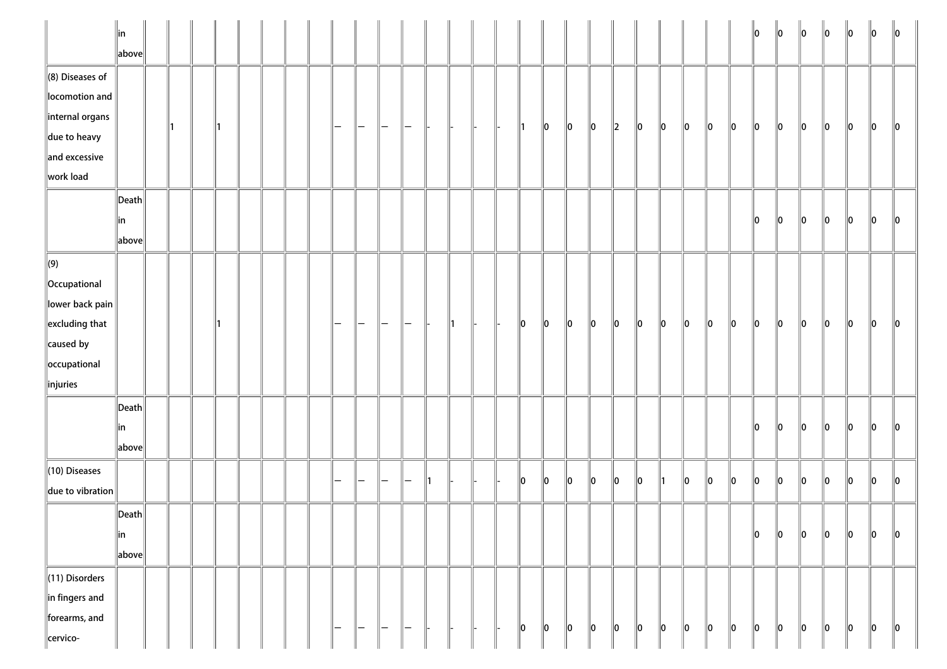|                                        | in<br>above           |    |    |  |  |                   |                        |     |                        |    |    |  |    |         |             |             |         |         |    |         |         |         | 10      | $\ 0\ $ | $\ 0\ $ | $\ 0\ $ | $\ 0\ $ | 10            | $\parallel$ 0 |
|----------------------------------------|-----------------------|----|----|--|--|-------------------|------------------------|-----|------------------------|----|----|--|----|---------|-------------|-------------|---------|---------|----|---------|---------|---------|---------|---------|---------|---------|---------|---------------|---------------|
| $\ $ (8) Diseases of<br>locomotion and |                       |    |    |  |  |                   |                        |     |                        |    |    |  |    |         |             |             |         |         |    |         |         |         |         |         |         |         |         |               |               |
| internal organs                        |                       | ∥1 | 11 |  |  | —                 |                        |     |                        |    |    |  | 11 | 10      | 10          | 10          | $\ 2\ $ | 10      | 10 | $\ 0\ $ | 10      | 10      | 10      | 10      | 10      | $\ 0\ $ | 10      | $\ 0\ $       | 10            |
| $\ $ due to heavy                      |                       |    |    |  |  |                   |                        |     |                        |    |    |  |    |         |             |             |         |         |    |         |         |         |         |         |         |         |         |               |               |
| $\ $ and excessive                     |                       |    |    |  |  |                   |                        |     |                        |    |    |  |    |         |             |             |         |         |    |         |         |         |         |         |         |         |         |               |               |
| work load                              |                       |    |    |  |  |                   |                        |     |                        |    |    |  |    |         |             |             |         |         |    |         |         |         |         |         |         |         |         |               |               |
|                                        | $\ $ Death            |    |    |  |  |                   |                        |     |                        |    |    |  |    |         |             |             |         |         |    |         |         |         |         |         |         |         |         |               |               |
|                                        | ∥in                   |    |    |  |  |                   |                        |     |                        |    |    |  |    |         |             |             |         |         |    |         |         |         | 10      | $\ 0\ $ | $\ 0\ $ | $\ 0\ $ | $\ 0\ $ | $\ 0\ $       | 10            |
|                                        | $\ $ above $\ $       |    |    |  |  |                   |                        |     |                        |    |    |  |    |         |             |             |         |         |    |         |         |         |         |         |         |         |         |               |               |
| $\Vert(9)\Vert$                        |                       |    |    |  |  |                   |                        |     |                        |    |    |  |    |         |             |             |         |         |    |         |         |         |         |         |         |         |         |               |               |
| <b>Occupational</b>                    |                       |    |    |  |  |                   |                        |     |                        |    |    |  |    |         |             |             |         |         |    |         |         |         |         |         |         |         |         |               |               |
| lower back pain                        |                       |    |    |  |  |                   |                        |     |                        |    |    |  |    |         |             |             |         |         |    |         |         |         |         |         |         |         |         |               |               |
| $\left\ $ excluding that               |                       |    |    |  |  |                   |                        |     |                        |    | ∥1 |  | 10 | $\ 0\ $ | $ 0\rangle$ | $ 0\rangle$ | 10      | $\ 0\ $ | 10 | $\ 0\ $ | 10      | $\ 0\ $ | 10      | $\ 0\ $ | 10      | $\ 0\ $ | 10      | $\parallel$ 0 | 10            |
| $\ $ caused by                         |                       |    |    |  |  |                   |                        |     |                        |    |    |  |    |         |             |             |         |         |    |         |         |         |         |         |         |         |         |               |               |
| occupational                           |                       |    |    |  |  |                   |                        |     |                        |    |    |  |    |         |             |             |         |         |    |         |         |         |         |         |         |         |         |               |               |
| $\ $ injuries                          |                       |    |    |  |  |                   |                        |     |                        |    |    |  |    |         |             |             |         |         |    |         |         |         |         |         |         |         |         |               |               |
|                                        | $\vert$ Death $\vert$ |    |    |  |  |                   |                        |     |                        |    |    |  |    |         |             |             |         |         |    |         |         |         |         |         |         |         |         |               |               |
|                                        | ∥in                   |    |    |  |  |                   |                        |     |                        |    |    |  |    |         |             |             |         |         |    |         |         |         | 10      | llo     | lo.     | lo      | lo.     | lo            | 10            |
|                                        | $\ $ above $\ $       |    |    |  |  |                   |                        |     |                        |    |    |  |    |         |             |             |         |         |    |         |         |         |         |         |         |         |         |               |               |
| $\ $ (10) Diseases                     |                       |    |    |  |  |                   |                        |     |                        |    |    |  |    |         |             |             |         |         |    |         |         |         |         |         |         |         |         |               |               |
| due to vibration                       |                       |    |    |  |  |                   |                        |     | —                      | 11 |    |  | 10 | $\ 0\ $ | 10          | $\ 0\ $     | 10      | $\ 0\ $ | ∥1 | $\ 0\ $ | $\ 0\ $ | $\ 0\ $ | $\ 0\ $ | $\ 0\ $ | $\ 0\ $ | $\ 0\ $ | $\ 0\ $ | $\ 0\ $       | $\ 0\ $       |
|                                        |                       |    |    |  |  |                   |                        |     |                        |    |    |  |    |         |             |             |         |         |    |         |         |         |         |         |         |         |         |               |               |
|                                        | $\ $ Death $\ $       |    |    |  |  |                   |                        |     |                        |    |    |  |    |         |             |             |         |         |    |         |         |         |         |         |         |         | $\ 0\ $ | $\ 0\ $       |               |
|                                        | ∥in                   |    |    |  |  |                   |                        |     |                        |    |    |  |    |         |             |             |         |         |    |         |         |         | $\ 0\ $ | $\ 0\ $ | $\ 0\ $ | $\ 0\ $ |         |               | $\ 0\ $       |
|                                        | above                 |    |    |  |  |                   |                        |     |                        |    |    |  |    |         |             |             |         |         |    |         |         |         |         |         |         |         |         |               |               |
| $\ $ (11) Disorders                    |                       |    |    |  |  |                   |                        |     |                        |    |    |  |    |         |             |             |         |         |    |         |         |         |         |         |         |         |         |               |               |
| $\ $ in fingers and                    |                       |    |    |  |  |                   |                        |     |                        |    |    |  |    |         |             |             |         |         |    |         |         |         |         |         |         |         |         |               |               |
| forearms, and                          |                       |    |    |  |  | $\qquad \qquad -$ | $\qquad \qquad \qquad$ | $-$ | $\qquad \qquad \qquad$ |    |    |  | 10 | $\ 0\ $ | $\ 0\ $     | $\ 0\ $     | 10      | $\ 0\ $ | 10 | $\ 0\ $ | 10      | $\ 0\ $ | 10      | $\ 0\ $ | 10      | $\ 0\ $ | 10      | $\ 0\ $       | $\ 0\ $       |
| cervico-                               |                       |    |    |  |  |                   |                        |     |                        |    |    |  |    |         |             |             |         |         |    |         |         |         |         |         |         |         |         |               |               |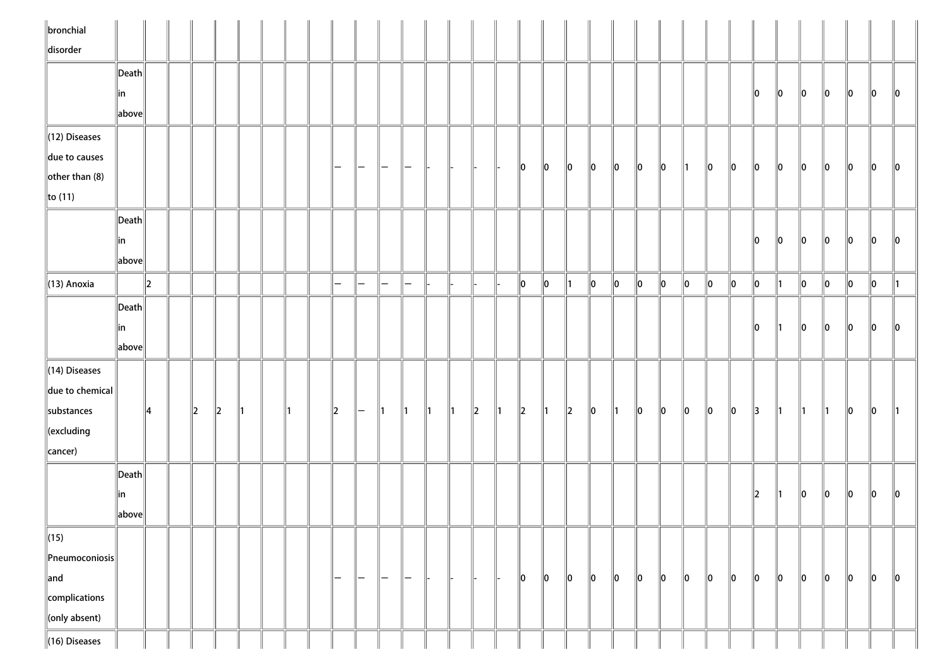| $\ $ bronchial            |                                      |         |   |         |    |  |               |               |                          |                   |               |               |   |              |         |               |         |               |               |             |         |               |         |         |               |               |               |               |               |             |               |
|---------------------------|--------------------------------------|---------|---|---------|----|--|---------------|---------------|--------------------------|-------------------|---------------|---------------|---|--------------|---------|---------------|---------|---------------|---------------|-------------|---------|---------------|---------|---------|---------------|---------------|---------------|---------------|---------------|-------------|---------------|
| disorder                  |                                      |         |   |         |    |  |               |               |                          |                   |               |               |   |              |         |               |         |               |               |             |         |               |         |         |               |               |               |               |               |             |               |
|                           | $\ $ Death $\ $                      |         |   |         |    |  |               |               |                          |                   |               |               |   |              |         |               |         |               |               |             |         |               |         |         |               |               |               |               |               |             |               |
|                           | ∥in                                  |         |   |         |    |  |               |               |                          |                   |               |               |   |              |         |               |         |               |               |             |         |               |         |         | 10            | $\parallel$ 0 | $\parallel$ 0 | 10            | 10            | 10          | $\parallel 0$ |
|                           | above                                |         |   |         |    |  |               |               |                          |                   |               |               |   |              |         |               |         |               |               |             |         |               |         |         |               |               |               |               |               |             |               |
| (12) Diseases             |                                      |         |   |         |    |  |               |               |                          |                   |               |               |   |              |         |               |         |               |               |             |         |               |         |         |               |               |               |               |               |             |               |
| due to causes             |                                      |         |   |         |    |  | $\overline{}$ | $-$           | $\overline{}$            | -                 |               |               |   |              | 10      | 10            | 10      | $\parallel$ 0 | $\ 0\ $       | $ 0\rangle$ | 10      | $\parallel$ 1 | 10      | $\ 0\ $ | $\parallel$ 0 | 10            | 10            | 10            | 10            | 10          | 10            |
| other than $(8)$          |                                      |         |   |         |    |  |               |               |                          |                   |               |               |   |              |         |               |         |               |               |             |         |               |         |         |               |               |               |               |               |             |               |
| $\ $ to (11)              |                                      |         |   |         |    |  |               |               |                          |                   |               |               |   |              |         |               |         |               |               |             |         |               |         |         |               |               |               |               |               |             |               |
|                           | $\ $ Death $\ $                      |         |   |         |    |  |               |               |                          |                   |               |               |   |              |         |               |         |               |               |             |         |               |         |         |               |               |               |               |               |             |               |
|                           | ∥in                                  |         |   |         |    |  |               |               |                          |                   |               |               |   |              |         |               |         |               |               |             |         |               |         |         | llo.          | 10            | 10            | 10            | 10            | 10          | 10            |
|                           | $\left\Vert \text{above}\right\Vert$ |         |   |         |    |  |               |               |                          |                   |               |               |   |              |         |               |         |               |               |             |         |               |         |         |               |               |               |               |               |             |               |
| $\parallel$ (13) Anoxia   |                                      | $\ 2\ $ |   |         |    |  | $-$           | $\overline{}$ | $\overline{\phantom{0}}$ | $\qquad \qquad -$ |               |               |   |              | $\ 0\ $ | $\parallel$ 0 | ∥1      | $\ 0\ $       | $\ 0\ $       | $\ 0\ $     | 0       | $\ 0\ $       | $\ 0\ $ | $\ 0\ $ | 0             | ∥1            | $ 0\rangle$   | 10            | 10            | 10          | 11            |
|                           | $\vert$ Death $\vert$                |         |   |         |    |  |               |               |                          |                   |               |               |   |              |         |               |         |               |               |             |         |               |         |         |               |               |               |               |               |             |               |
|                           | ∥in                                  |         |   |         |    |  |               |               |                          |                   |               |               |   |              |         |               |         |               |               |             |         |               |         |         | 10            | ∥1∶           | $\ 0\ $       | 10            | $\ 0\ $       | 10          | 10            |
|                           | above                                |         |   |         |    |  |               |               |                          |                   |               |               |   |              |         |               |         |               |               |             |         |               |         |         |               |               |               |               |               |             |               |
| $\parallel$ (14) Diseases |                                      |         |   |         |    |  |               |               |                          |                   |               |               |   |              |         |               |         |               |               |             |         |               |         |         |               |               |               |               |               |             |               |
| $\ $ due to chemical $\ $ |                                      |         |   |         |    |  |               |               |                          |                   |               |               |   |              |         |               |         |               |               |             |         |               |         |         |               |               |               |               |               |             |               |
| substances                |                                      | 14      | 2 | $\ 2\ $ | ∥1 |  | $\parallel$ 2 | $\vdash$      | ∥1                       | $\parallel$ 1     | $\parallel$ 1 | $\parallel$ 1 | 2 | $\mathsf{I}$ | 2       | $\parallel$ 1 | $\ 2\ $ | $\ 0\ $       | $\parallel$ 1 | $ 0\rangle$ | $\ 0\ $ | $\ 0\ $       | 0       | $\ 0\ $ | $\parallel$ 3 | $\parallel$ 1 | $\parallel$ 1 | $\parallel$ 1 | $\parallel$ 0 | $ 0\rangle$ | ∥1            |
| $\ $ (excluding           |                                      |         |   |         |    |  |               |               |                          |                   |               |               |   |              |         |               |         |               |               |             |         |               |         |         |               |               |               |               |               |             |               |
| cancer)                   |                                      |         |   |         |    |  |               |               |                          |                   |               |               |   |              |         |               |         |               |               |             |         |               |         |         |               |               |               |               |               |             |               |
|                           | Death                                |         |   |         |    |  |               |               |                          |                   |               |               |   |              |         |               |         |               |               |             |         |               |         |         |               |               |               |               |               |             |               |
|                           | in                                   |         |   |         |    |  |               |               |                          |                   |               |               |   |              |         |               |         |               |               |             |         |               |         |         | $ 2\rangle$   | ∥1∶           | $\ 0\ $       | 10            | $\ 0\ $       | 10          | 10            |
|                           | above                                |         |   |         |    |  |               |               |                          |                   |               |               |   |              |         |               |         |               |               |             |         |               |         |         |               |               |               |               |               |             |               |
| $\ $ (15)                 |                                      |         |   |         |    |  |               |               |                          |                   |               |               |   |              |         |               |         |               |               |             |         |               |         |         |               |               |               |               |               |             |               |
| $\ $ Pneumoconiosis $\ $  |                                      |         |   |         |    |  |               |               |                          |                   |               |               |   |              |         |               |         |               |               |             |         |               |         |         |               |               |               |               |               |             |               |
| $\ $ and                  |                                      |         |   |         |    |  | $\overline{}$ | $\vdash$      | $\overline{}$            | $-$               |               |               |   |              | $\ 0\ $ | $\ 0\ $       | $\ 0\ $ | $\ 0\ $       | $\ 0\ $       | $\ 0\ $     | $\ 0\ $ | $\ 0\ $       | $\ 0\ $ | $\ 0\ $ | $\ 0\ $       | 10            | 10            | $\ 0\ $       | $\ 0\ $       | $\ 0\ $     | $\ 0\ $       |
| complications             |                                      |         |   |         |    |  |               |               |                          |                   |               |               |   |              |         |               |         |               |               |             |         |               |         |         |               |               |               |               |               |             |               |
| $\ $ (only absent)        |                                      |         |   |         |    |  |               |               |                          |                   |               |               |   |              |         |               |         |               |               |             |         |               |         |         |               |               |               |               |               |             |               |
| $\ $ (16) Diseases        |                                      |         |   |         |    |  |               |               |                          |                   |               |               |   |              |         |               |         |               |               |             |         |               |         |         |               |               |               |               |               |             |               |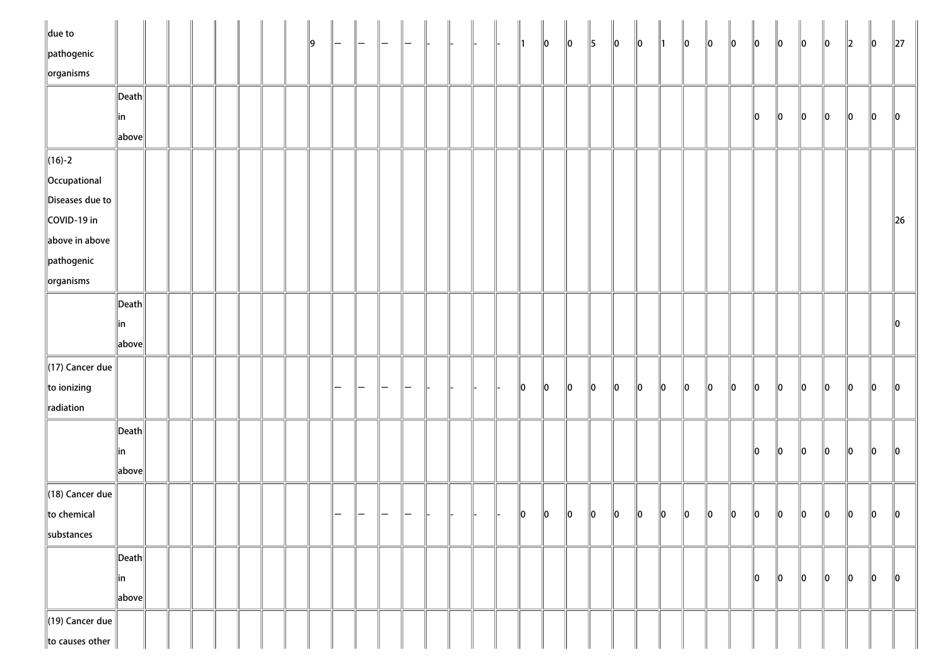| $\ $ due to                 |                                        |  |  |  | ∥9 |   |                 |                   |  |  | 11 | $\ 0\ $ | $\ 0\ $ | 5       | $\ 0\ $ | $\ 0\ $ | ∥1 | $\ 0\ $ | $\ 0\ $ | $\ 0\ $ | $\ 0\ $ | $\ 0\ $ | $\ 0\ $ | $\ 0\ $ | $\ 2\ $ | $\ 0\ $       | $\ 27\ $ |
|-----------------------------|----------------------------------------|--|--|--|----|---|-----------------|-------------------|--|--|----|---------|---------|---------|---------|---------|----|---------|---------|---------|---------|---------|---------|---------|---------|---------------|----------|
| $\ $ pathogenic             |                                        |  |  |  |    |   |                 |                   |  |  |    |         |         |         |         |         |    |         |         |         |         |         |         |         |         |               |          |
| $\left\Vert$ organisms      |                                        |  |  |  |    |   |                 |                   |  |  |    |         |         |         |         |         |    |         |         |         |         |         |         |         |         |               |          |
|                             | Death                                  |  |  |  |    |   |                 |                   |  |  |    |         |         |         |         |         |    |         |         |         |         |         |         |         |         |               |          |
|                             | in<br>$\ $ above $\ $                  |  |  |  |    |   |                 |                   |  |  |    |         |         |         |         |         |    |         |         |         | 10      | $\ 0\ $ | 10      | $\ 0\ $ | 10      | 10            | 10       |
| $\ $ (16)-2                 |                                        |  |  |  |    |   |                 |                   |  |  |    |         |         |         |         |         |    |         |         |         |         |         |         |         |         |               |          |
| Occupational                |                                        |  |  |  |    |   |                 |                   |  |  |    |         |         |         |         |         |    |         |         |         |         |         |         |         |         |               |          |
| Diseases due to             |                                        |  |  |  |    |   |                 |                   |  |  |    |         |         |         |         |         |    |         |         |         |         |         |         |         |         |               |          |
| COVID-19 in                 |                                        |  |  |  |    |   |                 |                   |  |  |    |         |         |         |         |         |    |         |         |         |         |         |         |         |         |               | $\ $ 26  |
| above in above              |                                        |  |  |  |    |   |                 |                   |  |  |    |         |         |         |         |         |    |         |         |         |         |         |         |         |         |               |          |
| $\ $ pathogenic             |                                        |  |  |  |    |   |                 |                   |  |  |    |         |         |         |         |         |    |         |         |         |         |         |         |         |         |               |          |
| $\left\Vert$ organisms      |                                        |  |  |  |    |   |                 |                   |  |  |    |         |         |         |         |         |    |         |         |         |         |         |         |         |         |               |          |
|                             | $\ $ Death $\ $                        |  |  |  |    |   |                 |                   |  |  |    |         |         |         |         |         |    |         |         |         |         |         |         |         |         |               |          |
|                             | ∥in                                    |  |  |  |    |   |                 |                   |  |  |    |         |         |         |         |         |    |         |         |         |         |         |         |         |         |               |          |
|                             | above                                  |  |  |  |    |   |                 |                   |  |  |    |         |         |         |         |         |    |         |         |         |         |         |         |         |         |               |          |
| $(17)$ Cancer due           |                                        |  |  |  |    |   |                 |                   |  |  |    |         |         |         |         |         |    |         |         |         |         |         |         |         |         |               |          |
| $\ $ to ionizing            |                                        |  |  |  |    |   |                 |                   |  |  | 10 | $\ 0\ $ | $\ 0\ $ | $\ 0\ $ | 10      | $\ 0\ $ | 10 | $\ 0\ $ | 10      | 10      | 10      | 10      | 10      | llo     | lo.     | llo           | 10       |
| radiation                   |                                        |  |  |  |    |   |                 |                   |  |  |    |         |         |         |         |         |    |         |         |         |         |         |         |         |         |               |          |
|                             | $\left\Vert \mathsf{Death}\right\Vert$ |  |  |  |    |   |                 |                   |  |  |    |         |         |         |         |         |    |         |         |         |         |         |         |         |         |               |          |
|                             | ∥in                                    |  |  |  |    |   |                 |                   |  |  |    |         |         |         |         |         |    |         |         |         | 10      | llo     | 10      | $\ 0\ $ | 10      | $\ 0\ $       | ll0      |
|                             | $\ $ above $\ $                        |  |  |  |    |   |                 |                   |  |  |    |         |         |         |         |         |    |         |         |         |         |         |         |         |         |               |          |
| $\parallel$ (18) Cancer due |                                        |  |  |  |    |   |                 |                   |  |  |    |         |         |         |         |         |    |         |         |         |         |         |         |         |         |               |          |
| $\ $ to chemical            |                                        |  |  |  |    | - | $\qquad \qquad$ | $\qquad \qquad -$ |  |  | 10 | 10      | 10      | 10      | 10      | 10      | 10 | 10      | 10      | 10      | 10      | 10      | 10      | 10      | 10      | $\parallel$ 0 | 10       |
| substances                  |                                        |  |  |  |    |   |                 |                   |  |  |    |         |         |         |         |         |    |         |         |         |         |         |         |         |         |               |          |
|                             | $\left\Vert \mathsf{Death}\right\Vert$ |  |  |  |    |   |                 |                   |  |  |    |         |         |         |         |         |    |         |         |         |         |         |         |         |         |               |          |
|                             | in                                     |  |  |  |    |   |                 |                   |  |  |    |         |         |         |         |         |    |         |         |         | 10      | 10      | 10      | 10      | $\ 0\ $ | 10            | $\ 0\ $  |
|                             | $\ $ above $\ $                        |  |  |  |    |   |                 |                   |  |  |    |         |         |         |         |         |    |         |         |         |         |         |         |         |         |               |          |
| $\parallel$ (19) Cancer due |                                        |  |  |  |    |   |                 |                   |  |  |    |         |         |         |         |         |    |         |         |         |         |         |         |         |         |               |          |
| to causes other             |                                        |  |  |  |    |   |                 |                   |  |  |    |         |         |         |         |         |    |         |         |         |         |         |         |         |         |               |          |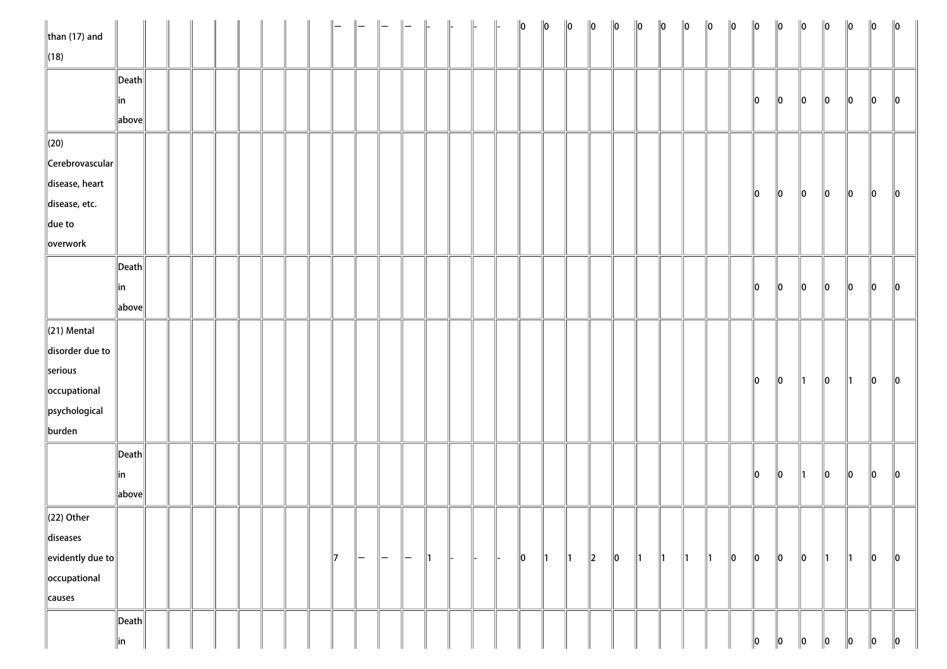| than $(17)$ and                             |                                      |  |  |  |  |              |          |               |     |                |  | $\ 0\ $     | $\ 0\ $       | $\ 0\ $       | $\ 0\ $ | $\ 0\ $ | $\ 0\ $       | $\ 0\ $       | $\ 0\ $       | $\ 0\ $       | $\ 0\ $ | $\ 0\ $     | $\ 0\ $ | $\ 0\ $       | $\ 0\ $       | $\ 0\ $       | $\ 0\ $     | $\ 0\ $        |
|---------------------------------------------|--------------------------------------|--|--|--|--|--------------|----------|---------------|-----|----------------|--|-------------|---------------|---------------|---------|---------|---------------|---------------|---------------|---------------|---------|-------------|---------|---------------|---------------|---------------|-------------|----------------|
| $\ $ (18)                                   |                                      |  |  |  |  |              |          |               |     |                |  |             |               |               |         |         |               |               |               |               |         |             |         |               |               |               |             |                |
|                                             | $\ $ Death $\ $                      |  |  |  |  |              |          |               |     |                |  |             |               |               |         |         |               |               |               |               |         |             |         |               |               |               |             |                |
|                                             | ∥in                                  |  |  |  |  |              |          |               |     |                |  |             |               |               |         |         |               |               |               |               |         | 10          | $\ 0\ $ | $\ 0\ $       | 10            | 10            | $\ 0\ $     | 10             |
|                                             | above                                |  |  |  |  |              |          |               |     |                |  |             |               |               |         |         |               |               |               |               |         |             |         |               |               |               |             |                |
| $\ $ (20)                                   |                                      |  |  |  |  |              |          |               |     |                |  |             |               |               |         |         |               |               |               |               |         |             |         |               |               |               |             |                |
| Cerebrovascular                             |                                      |  |  |  |  |              |          |               |     |                |  |             |               |               |         |         |               |               |               |               |         |             |         |               |               |               |             |                |
| disease, heart                              |                                      |  |  |  |  |              |          |               |     |                |  |             |               |               |         |         |               |               |               |               |         | 10          | $\ 0\ $ | $\ 0\ $       | $\ 0\ $       | 10            | 10          |                |
| disease, etc.                               |                                      |  |  |  |  |              |          |               |     |                |  |             |               |               |         |         |               |               |               |               |         |             |         |               |               |               |             | $\ 0\ $        |
| $\ $ due to                                 |                                      |  |  |  |  |              |          |               |     |                |  |             |               |               |         |         |               |               |               |               |         |             |         |               |               |               |             |                |
| overwork                                    |                                      |  |  |  |  |              |          |               |     |                |  |             |               |               |         |         |               |               |               |               |         |             |         |               |               |               |             |                |
|                                             | $\vert$ Death $\vert$                |  |  |  |  |              |          |               |     |                |  |             |               |               |         |         |               |               |               |               |         |             |         |               |               |               |             |                |
|                                             | ∥in                                  |  |  |  |  |              |          |               |     |                |  |             |               |               |         |         |               |               |               |               |         | $\ 0\ $     | $\ 0\ $ | $\ 0\ $       | $\ 0\ $       | $\ 0\ $       | 10          | $\parallel$ 0  |
|                                             | above                                |  |  |  |  |              |          |               |     |                |  |             |               |               |         |         |               |               |               |               |         |             |         |               |               |               |             |                |
| $\ $ (21) Mental                            |                                      |  |  |  |  |              |          |               |     |                |  |             |               |               |         |         |               |               |               |               |         |             |         |               |               |               |             |                |
| disorder due to                             |                                      |  |  |  |  |              |          |               |     |                |  |             |               |               |         |         |               |               |               |               |         |             |         |               |               |               |             |                |
| serious                                     |                                      |  |  |  |  |              |          |               |     |                |  |             |               |               |         |         |               |               |               |               |         |             |         |               |               |               |             |                |
| occupational                                |                                      |  |  |  |  |              |          |               |     |                |  |             |               |               |         |         |               |               |               |               |         | $\ 0\ $     | $\ 0\ $ | $\parallel$ 1 | $\ 0\ $       | $\parallel$ 1 | $ 0\rangle$ | $\ 0\ $        |
| $\left\ $ psychological                     |                                      |  |  |  |  |              |          |               |     |                |  |             |               |               |         |         |               |               |               |               |         |             |         |               |               |               |             |                |
| burden                                      |                                      |  |  |  |  |              |          |               |     |                |  |             |               |               |         |         |               |               |               |               |         |             |         |               |               |               |             |                |
|                                             | Death                                |  |  |  |  |              |          |               |     |                |  |             |               |               |         |         |               |               |               |               |         |             |         |               |               |               |             |                |
|                                             | ∥in                                  |  |  |  |  |              |          |               |     |                |  |             |               |               |         |         |               |               |               |               |         | $\ 0\ $     | $\ 0\ $ | $\parallel$ 1 | $\ 0\ $       | $\ 0\ $       | $\ 0\ $     | $\ 0\ $        |
|                                             | $\left\Vert \text{above}\right\Vert$ |  |  |  |  |              |          |               |     |                |  |             |               |               |         |         |               |               |               |               |         |             |         |               |               |               |             |                |
| $\parallel$ (22) Other                      |                                      |  |  |  |  |              |          |               |     |                |  |             |               |               |         |         |               |               |               |               |         |             |         |               |               |               |             |                |
| diseases                                    |                                      |  |  |  |  |              |          |               |     |                |  |             |               |               |         |         |               |               |               |               |         |             |         |               |               |               |             |                |
| $\left\Vert$ evidently due to $\right\Vert$ |                                      |  |  |  |  | $\mathbb{I}$ | $\vdash$ | $\overline{}$ | $-$ | $\mathsf{I}$ 1 |  | $ 0\rangle$ | $\parallel$ 1 | $\parallel$ 1 | $\ 2\ $ | $\ 0\ $ | $\parallel$ 1 | $\parallel$ 1 | $\parallel$ 1 | $\parallel$ 1 | $\ 0\ $ | $ 0\rangle$ | $\ 0\ $ | $ 0\rangle$   | $\parallel$ 1 | $\parallel$ 1 | $ 0\rangle$ | $\ 0\ $        |
| occupational                                |                                      |  |  |  |  |              |          |               |     |                |  |             |               |               |         |         |               |               |               |               |         |             |         |               |               |               |             |                |
| causes                                      |                                      |  |  |  |  |              |          |               |     |                |  |             |               |               |         |         |               |               |               |               |         |             |         |               |               |               |             |                |
|                                             | $\vert$ Death $\vert$                |  |  |  |  |              |          |               |     |                |  |             |               |               |         |         |               |               |               |               |         |             |         |               |               |               |             |                |
|                                             | in                                   |  |  |  |  |              |          |               |     |                |  |             |               |               |         |         |               |               |               |               |         | 0           | 10      | $\ 0\ $       | 10            | 10            | $\ 0\ $     | $\ 0\ $<br>- 1 |